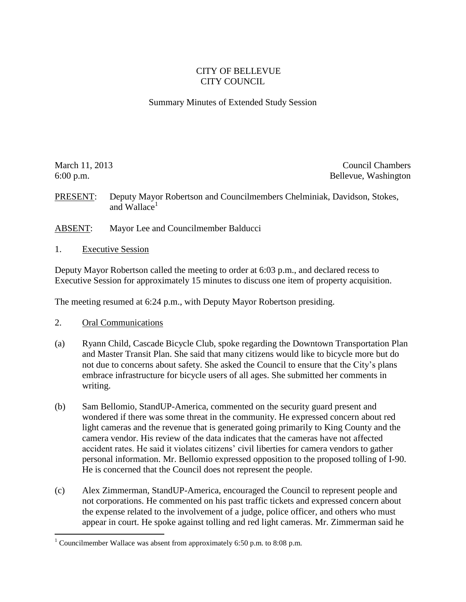## CITY OF BELLEVUE CITY COUNCIL

## Summary Minutes of Extended Study Session

March 11, 2013 Council Chambers **Council Chambers** 6:00 p.m. Bellevue, Washington

PRESENT: Deputy Mayor Robertson and Councilmembers Chelminiak, Davidson, Stokes, and Wallace $<sup>1</sup>$ </sup>

ABSENT: Mayor Lee and Councilmember Balducci

1. Executive Session

Deputy Mayor Robertson called the meeting to order at 6:03 p.m., and declared recess to Executive Session for approximately 15 minutes to discuss one item of property acquisition.

The meeting resumed at 6:24 p.m., with Deputy Mayor Robertson presiding.

2. Oral Communications

 $\overline{a}$ 

- (a) Ryann Child, Cascade Bicycle Club, spoke regarding the Downtown Transportation Plan and Master Transit Plan. She said that many citizens would like to bicycle more but do not due to concerns about safety. She asked the Council to ensure that the City's plans embrace infrastructure for bicycle users of all ages. She submitted her comments in writing.
- (b) Sam Bellomio, StandUP-America, commented on the security guard present and wondered if there was some threat in the community. He expressed concern about red light cameras and the revenue that is generated going primarily to King County and the camera vendor. His review of the data indicates that the cameras have not affected accident rates. He said it violates citizens' civil liberties for camera vendors to gather personal information. Mr. Bellomio expressed opposition to the proposed tolling of I-90. He is concerned that the Council does not represent the people.
- (c) Alex Zimmerman, StandUP-America, encouraged the Council to represent people and not corporations. He commented on his past traffic tickets and expressed concern about the expense related to the involvement of a judge, police officer, and others who must appear in court. He spoke against tolling and red light cameras. Mr. Zimmerman said he

<sup>&</sup>lt;sup>1</sup> Councilmember Wallace was absent from approximately 6:50 p.m. to 8:08 p.m.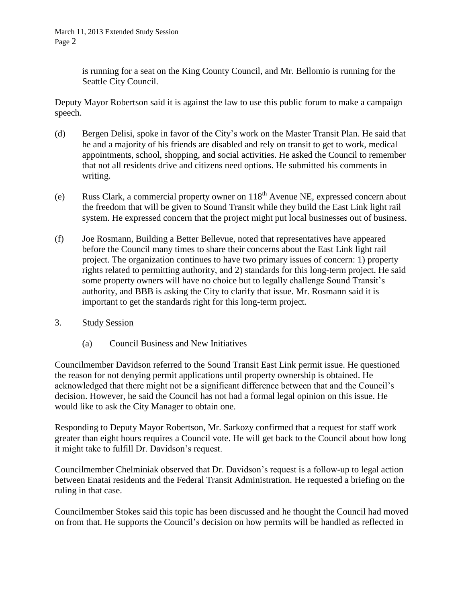is running for a seat on the King County Council, and Mr. Bellomio is running for the Seattle City Council.

Deputy Mayor Robertson said it is against the law to use this public forum to make a campaign speech.

- (d) Bergen Delisi, spoke in favor of the City's work on the Master Transit Plan. He said that he and a majority of his friends are disabled and rely on transit to get to work, medical appointments, school, shopping, and social activities. He asked the Council to remember that not all residents drive and citizens need options. He submitted his comments in writing.
- (e) Russ Clark, a commercial property owner on  $118<sup>th</sup>$  Avenue NE, expressed concern about the freedom that will be given to Sound Transit while they build the East Link light rail system. He expressed concern that the project might put local businesses out of business.
- (f) Joe Rosmann, Building a Better Bellevue, noted that representatives have appeared before the Council many times to share their concerns about the East Link light rail project. The organization continues to have two primary issues of concern: 1) property rights related to permitting authority, and 2) standards for this long-term project. He said some property owners will have no choice but to legally challenge Sound Transit's authority, and BBB is asking the City to clarify that issue. Mr. Rosmann said it is important to get the standards right for this long-term project.
- 3. Study Session
	- (a) Council Business and New Initiatives

Councilmember Davidson referred to the Sound Transit East Link permit issue. He questioned the reason for not denying permit applications until property ownership is obtained. He acknowledged that there might not be a significant difference between that and the Council's decision. However, he said the Council has not had a formal legal opinion on this issue. He would like to ask the City Manager to obtain one.

Responding to Deputy Mayor Robertson, Mr. Sarkozy confirmed that a request for staff work greater than eight hours requires a Council vote. He will get back to the Council about how long it might take to fulfill Dr. Davidson's request.

Councilmember Chelminiak observed that Dr. Davidson's request is a follow-up to legal action between Enatai residents and the Federal Transit Administration. He requested a briefing on the ruling in that case.

Councilmember Stokes said this topic has been discussed and he thought the Council had moved on from that. He supports the Council's decision on how permits will be handled as reflected in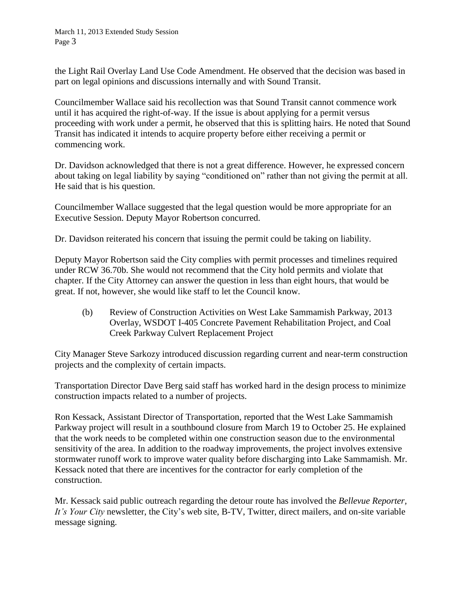the Light Rail Overlay Land Use Code Amendment. He observed that the decision was based in part on legal opinions and discussions internally and with Sound Transit.

Councilmember Wallace said his recollection was that Sound Transit cannot commence work until it has acquired the right-of-way. If the issue is about applying for a permit versus proceeding with work under a permit, he observed that this is splitting hairs. He noted that Sound Transit has indicated it intends to acquire property before either receiving a permit or commencing work.

Dr. Davidson acknowledged that there is not a great difference. However, he expressed concern about taking on legal liability by saying "conditioned on" rather than not giving the permit at all. He said that is his question.

Councilmember Wallace suggested that the legal question would be more appropriate for an Executive Session. Deputy Mayor Robertson concurred.

Dr. Davidson reiterated his concern that issuing the permit could be taking on liability.

Deputy Mayor Robertson said the City complies with permit processes and timelines required under RCW 36.70b. She would not recommend that the City hold permits and violate that chapter. If the City Attorney can answer the question in less than eight hours, that would be great. If not, however, she would like staff to let the Council know.

(b) Review of Construction Activities on West Lake Sammamish Parkway, 2013 Overlay, WSDOT I-405 Concrete Pavement Rehabilitation Project, and Coal Creek Parkway Culvert Replacement Project

City Manager Steve Sarkozy introduced discussion regarding current and near-term construction projects and the complexity of certain impacts.

Transportation Director Dave Berg said staff has worked hard in the design process to minimize construction impacts related to a number of projects.

Ron Kessack, Assistant Director of Transportation, reported that the West Lake Sammamish Parkway project will result in a southbound closure from March 19 to October 25. He explained that the work needs to be completed within one construction season due to the environmental sensitivity of the area. In addition to the roadway improvements, the project involves extensive stormwater runoff work to improve water quality before discharging into Lake Sammamish. Mr. Kessack noted that there are incentives for the contractor for early completion of the construction.

Mr. Kessack said public outreach regarding the detour route has involved the *Bellevue Reporter, It's Your City* newsletter, the City's web site, B-TV, Twitter, direct mailers, and on-site variable message signing.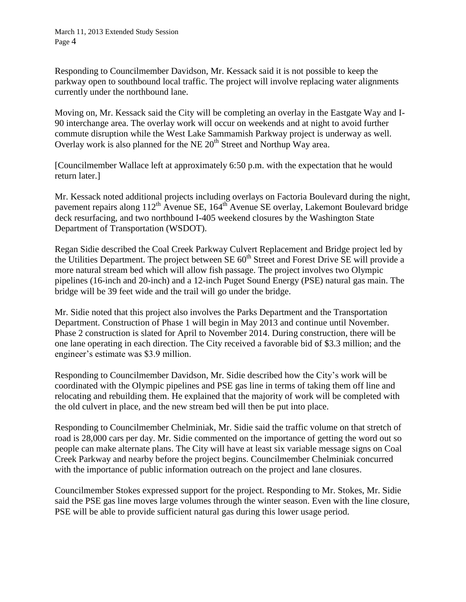Responding to Councilmember Davidson, Mr. Kessack said it is not possible to keep the parkway open to southbound local traffic. The project will involve replacing water alignments currently under the northbound lane.

Moving on, Mr. Kessack said the City will be completing an overlay in the Eastgate Way and I-90 interchange area. The overlay work will occur on weekends and at night to avoid further commute disruption while the West Lake Sammamish Parkway project is underway as well. Overlay work is also planned for the NE  $20<sup>th</sup>$  Street and Northup Way area.

[Councilmember Wallace left at approximately 6:50 p.m. with the expectation that he would return later.]

Mr. Kessack noted additional projects including overlays on Factoria Boulevard during the night, pavement repairs along 112<sup>th</sup> Avenue SE, 164<sup>th</sup> Avenue SE overlay, Lakemont Boulevard bridge deck resurfacing, and two northbound I-405 weekend closures by the Washington State Department of Transportation (WSDOT).

Regan Sidie described the Coal Creek Parkway Culvert Replacement and Bridge project led by the Utilities Department. The project between  $SE 60<sup>th</sup>$  Street and Forest Drive SE will provide a more natural stream bed which will allow fish passage. The project involves two Olympic pipelines (16-inch and 20-inch) and a 12-inch Puget Sound Energy (PSE) natural gas main. The bridge will be 39 feet wide and the trail will go under the bridge.

Mr. Sidie noted that this project also involves the Parks Department and the Transportation Department. Construction of Phase 1 will begin in May 2013 and continue until November. Phase 2 construction is slated for April to November 2014. During construction, there will be one lane operating in each direction. The City received a favorable bid of \$3.3 million; and the engineer's estimate was \$3.9 million.

Responding to Councilmember Davidson, Mr. Sidie described how the City's work will be coordinated with the Olympic pipelines and PSE gas line in terms of taking them off line and relocating and rebuilding them. He explained that the majority of work will be completed with the old culvert in place, and the new stream bed will then be put into place.

Responding to Councilmember Chelminiak, Mr. Sidie said the traffic volume on that stretch of road is 28,000 cars per day. Mr. Sidie commented on the importance of getting the word out so people can make alternate plans. The City will have at least six variable message signs on Coal Creek Parkway and nearby before the project begins. Councilmember Chelminiak concurred with the importance of public information outreach on the project and lane closures.

Councilmember Stokes expressed support for the project. Responding to Mr. Stokes, Mr. Sidie said the PSE gas line moves large volumes through the winter season. Even with the line closure, PSE will be able to provide sufficient natural gas during this lower usage period.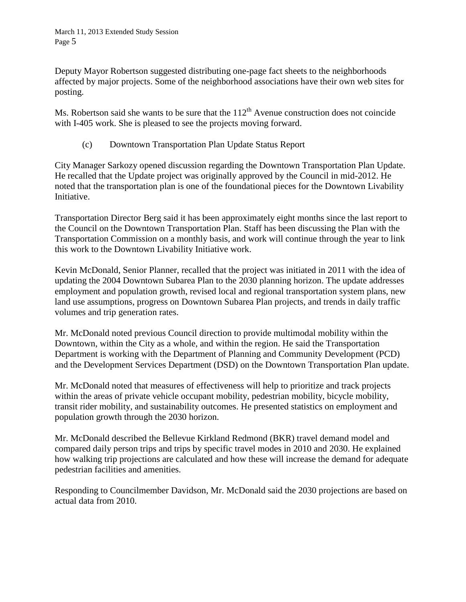Deputy Mayor Robertson suggested distributing one-page fact sheets to the neighborhoods affected by major projects. Some of the neighborhood associations have their own web sites for posting.

Ms. Robertson said she wants to be sure that the  $112<sup>th</sup>$  Avenue construction does not coincide with I-405 work. She is pleased to see the projects moving forward.

(c) Downtown Transportation Plan Update Status Report

City Manager Sarkozy opened discussion regarding the Downtown Transportation Plan Update. He recalled that the Update project was originally approved by the Council in mid-2012. He noted that the transportation plan is one of the foundational pieces for the Downtown Livability Initiative.

Transportation Director Berg said it has been approximately eight months since the last report to the Council on the Downtown Transportation Plan. Staff has been discussing the Plan with the Transportation Commission on a monthly basis, and work will continue through the year to link this work to the Downtown Livability Initiative work.

Kevin McDonald, Senior Planner, recalled that the project was initiated in 2011 with the idea of updating the 2004 Downtown Subarea Plan to the 2030 planning horizon. The update addresses employment and population growth, revised local and regional transportation system plans, new land use assumptions, progress on Downtown Subarea Plan projects, and trends in daily traffic volumes and trip generation rates.

Mr. McDonald noted previous Council direction to provide multimodal mobility within the Downtown, within the City as a whole, and within the region. He said the Transportation Department is working with the Department of Planning and Community Development (PCD) and the Development Services Department (DSD) on the Downtown Transportation Plan update.

Mr. McDonald noted that measures of effectiveness will help to prioritize and track projects within the areas of private vehicle occupant mobility, pedestrian mobility, bicycle mobility, transit rider mobility, and sustainability outcomes. He presented statistics on employment and population growth through the 2030 horizon.

Mr. McDonald described the Bellevue Kirkland Redmond (BKR) travel demand model and compared daily person trips and trips by specific travel modes in 2010 and 2030. He explained how walking trip projections are calculated and how these will increase the demand for adequate pedestrian facilities and amenities.

Responding to Councilmember Davidson, Mr. McDonald said the 2030 projections are based on actual data from 2010.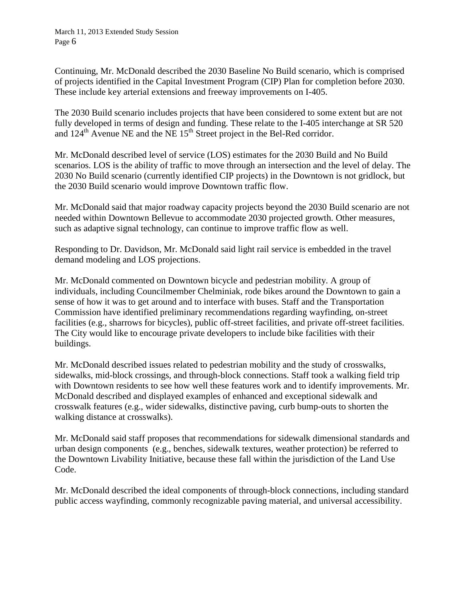Continuing, Mr. McDonald described the 2030 Baseline No Build scenario, which is comprised of projects identified in the Capital Investment Program (CIP) Plan for completion before 2030. These include key arterial extensions and freeway improvements on I-405.

The 2030 Build scenario includes projects that have been considered to some extent but are not fully developed in terms of design and funding. These relate to the I-405 interchange at SR 520 and  $124<sup>th</sup>$  Avenue NE and the NE  $15<sup>th</sup>$  Street project in the Bel-Red corridor.

Mr. McDonald described level of service (LOS) estimates for the 2030 Build and No Build scenarios. LOS is the ability of traffic to move through an intersection and the level of delay. The 2030 No Build scenario (currently identified CIP projects) in the Downtown is not gridlock, but the 2030 Build scenario would improve Downtown traffic flow.

Mr. McDonald said that major roadway capacity projects beyond the 2030 Build scenario are not needed within Downtown Bellevue to accommodate 2030 projected growth. Other measures, such as adaptive signal technology, can continue to improve traffic flow as well.

Responding to Dr. Davidson, Mr. McDonald said light rail service is embedded in the travel demand modeling and LOS projections.

Mr. McDonald commented on Downtown bicycle and pedestrian mobility. A group of individuals, including Councilmember Chelminiak, rode bikes around the Downtown to gain a sense of how it was to get around and to interface with buses. Staff and the Transportation Commission have identified preliminary recommendations regarding wayfinding, on-street facilities (e.g., sharrows for bicycles), public off-street facilities, and private off-street facilities. The City would like to encourage private developers to include bike facilities with their buildings.

Mr. McDonald described issues related to pedestrian mobility and the study of crosswalks, sidewalks, mid-block crossings, and through-block connections. Staff took a walking field trip with Downtown residents to see how well these features work and to identify improvements. Mr. McDonald described and displayed examples of enhanced and exceptional sidewalk and crosswalk features (e.g., wider sidewalks, distinctive paving, curb bump-outs to shorten the walking distance at crosswalks).

Mr. McDonald said staff proposes that recommendations for sidewalk dimensional standards and urban design components (e.g., benches, sidewalk textures, weather protection) be referred to the Downtown Livability Initiative, because these fall within the jurisdiction of the Land Use Code.

Mr. McDonald described the ideal components of through-block connections, including standard public access wayfinding, commonly recognizable paving material, and universal accessibility.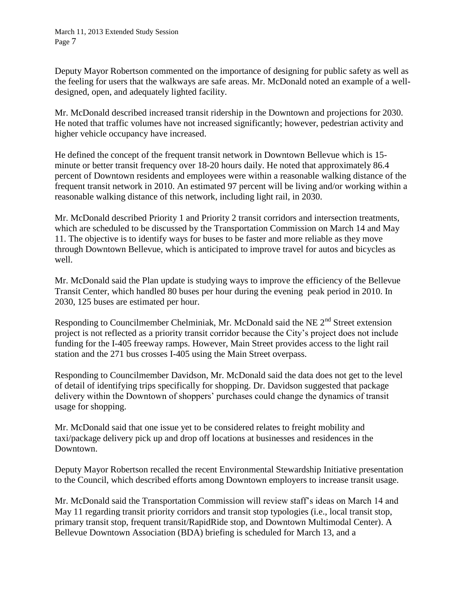Deputy Mayor Robertson commented on the importance of designing for public safety as well as the feeling for users that the walkways are safe areas. Mr. McDonald noted an example of a welldesigned, open, and adequately lighted facility.

Mr. McDonald described increased transit ridership in the Downtown and projections for 2030. He noted that traffic volumes have not increased significantly; however, pedestrian activity and higher vehicle occupancy have increased.

He defined the concept of the frequent transit network in Downtown Bellevue which is 15 minute or better transit frequency over 18-20 hours daily. He noted that approximately 86.4 percent of Downtown residents and employees were within a reasonable walking distance of the frequent transit network in 2010. An estimated 97 percent will be living and/or working within a reasonable walking distance of this network, including light rail, in 2030.

Mr. McDonald described Priority 1 and Priority 2 transit corridors and intersection treatments, which are scheduled to be discussed by the Transportation Commission on March 14 and May 11. The objective is to identify ways for buses to be faster and more reliable as they move through Downtown Bellevue, which is anticipated to improve travel for autos and bicycles as well.

Mr. McDonald said the Plan update is studying ways to improve the efficiency of the Bellevue Transit Center, which handled 80 buses per hour during the evening peak period in 2010. In 2030, 125 buses are estimated per hour.

Responding to Councilmember Chelminiak, Mr. McDonald said the NE 2<sup>nd</sup> Street extension project is not reflected as a priority transit corridor because the City's project does not include funding for the I-405 freeway ramps. However, Main Street provides access to the light rail station and the 271 bus crosses I-405 using the Main Street overpass.

Responding to Councilmember Davidson, Mr. McDonald said the data does not get to the level of detail of identifying trips specifically for shopping. Dr. Davidson suggested that package delivery within the Downtown of shoppers' purchases could change the dynamics of transit usage for shopping.

Mr. McDonald said that one issue yet to be considered relates to freight mobility and taxi/package delivery pick up and drop off locations at businesses and residences in the Downtown.

Deputy Mayor Robertson recalled the recent Environmental Stewardship Initiative presentation to the Council, which described efforts among Downtown employers to increase transit usage.

Mr. McDonald said the Transportation Commission will review staff's ideas on March 14 and May 11 regarding transit priority corridors and transit stop typologies (i.e., local transit stop, primary transit stop, frequent transit/RapidRide stop, and Downtown Multimodal Center). A Bellevue Downtown Association (BDA) briefing is scheduled for March 13, and a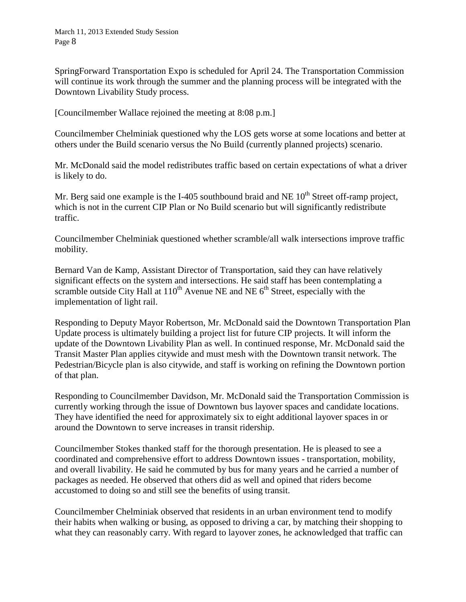SpringForward Transportation Expo is scheduled for April 24. The Transportation Commission will continue its work through the summer and the planning process will be integrated with the Downtown Livability Study process.

[Councilmember Wallace rejoined the meeting at 8:08 p.m.]

Councilmember Chelminiak questioned why the LOS gets worse at some locations and better at others under the Build scenario versus the No Build (currently planned projects) scenario.

Mr. McDonald said the model redistributes traffic based on certain expectations of what a driver is likely to do.

Mr. Berg said one example is the I-405 southbound braid and NE  $10<sup>th</sup>$  Street off-ramp project, which is not in the current CIP Plan or No Build scenario but will significantly redistribute traffic.

Councilmember Chelminiak questioned whether scramble/all walk intersections improve traffic mobility.

Bernard Van de Kamp, Assistant Director of Transportation, said they can have relatively significant effects on the system and intersections. He said staff has been contemplating a scramble outside City Hall at  $110^{th}$  Avenue NE and NE  $6^{th}$  Street, especially with the implementation of light rail.

Responding to Deputy Mayor Robertson, Mr. McDonald said the Downtown Transportation Plan Update process is ultimately building a project list for future CIP projects. It will inform the update of the Downtown Livability Plan as well. In continued response, Mr. McDonald said the Transit Master Plan applies citywide and must mesh with the Downtown transit network. The Pedestrian/Bicycle plan is also citywide, and staff is working on refining the Downtown portion of that plan.

Responding to Councilmember Davidson, Mr. McDonald said the Transportation Commission is currently working through the issue of Downtown bus layover spaces and candidate locations. They have identified the need for approximately six to eight additional layover spaces in or around the Downtown to serve increases in transit ridership.

Councilmember Stokes thanked staff for the thorough presentation. He is pleased to see a coordinated and comprehensive effort to address Downtown issues - transportation, mobility, and overall livability. He said he commuted by bus for many years and he carried a number of packages as needed. He observed that others did as well and opined that riders become accustomed to doing so and still see the benefits of using transit.

Councilmember Chelminiak observed that residents in an urban environment tend to modify their habits when walking or busing, as opposed to driving a car, by matching their shopping to what they can reasonably carry. With regard to layover zones, he acknowledged that traffic can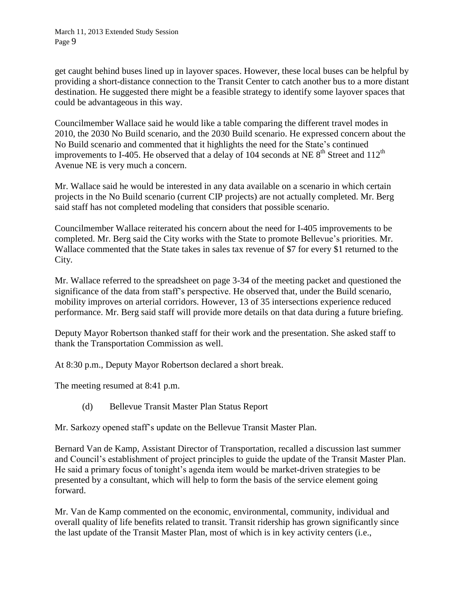get caught behind buses lined up in layover spaces. However, these local buses can be helpful by providing a short-distance connection to the Transit Center to catch another bus to a more distant destination. He suggested there might be a feasible strategy to identify some layover spaces that could be advantageous in this way.

Councilmember Wallace said he would like a table comparing the different travel modes in 2010, the 2030 No Build scenario, and the 2030 Build scenario. He expressed concern about the No Build scenario and commented that it highlights the need for the State's continued improvements to I-405. He observed that a delay of 104 seconds at NE  $8<sup>th</sup>$  Street and 112<sup>th</sup> Avenue NE is very much a concern.

Mr. Wallace said he would be interested in any data available on a scenario in which certain projects in the No Build scenario (current CIP projects) are not actually completed. Mr. Berg said staff has not completed modeling that considers that possible scenario.

Councilmember Wallace reiterated his concern about the need for I-405 improvements to be completed. Mr. Berg said the City works with the State to promote Bellevue's priorities. Mr. Wallace commented that the State takes in sales tax revenue of \$7 for every \$1 returned to the City.

Mr. Wallace referred to the spreadsheet on page 3-34 of the meeting packet and questioned the significance of the data from staff's perspective. He observed that, under the Build scenario, mobility improves on arterial corridors. However, 13 of 35 intersections experience reduced performance. Mr. Berg said staff will provide more details on that data during a future briefing.

Deputy Mayor Robertson thanked staff for their work and the presentation. She asked staff to thank the Transportation Commission as well.

At 8:30 p.m., Deputy Mayor Robertson declared a short break.

The meeting resumed at 8:41 p.m.

(d) Bellevue Transit Master Plan Status Report

Mr. Sarkozy opened staff's update on the Bellevue Transit Master Plan.

Bernard Van de Kamp, Assistant Director of Transportation, recalled a discussion last summer and Council's establishment of project principles to guide the update of the Transit Master Plan. He said a primary focus of tonight's agenda item would be market-driven strategies to be presented by a consultant, which will help to form the basis of the service element going forward.

Mr. Van de Kamp commented on the economic, environmental, community, individual and overall quality of life benefits related to transit. Transit ridership has grown significantly since the last update of the Transit Master Plan, most of which is in key activity centers (i.e.,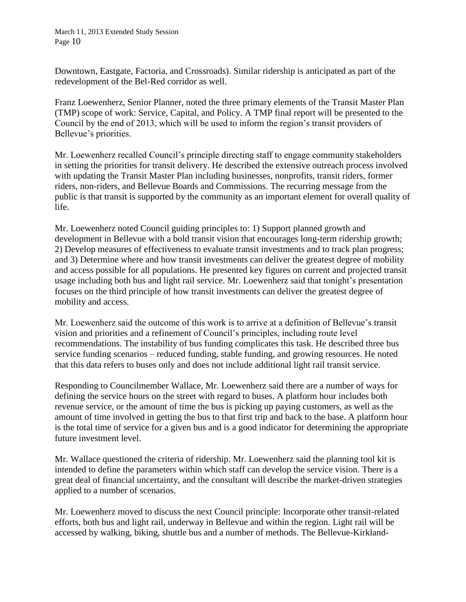Downtown, Eastgate, Factoria, and Crossroads). Similar ridership is anticipated as part of the redevelopment of the Bel-Red corridor as well.

Franz Loewenherz, Senior Planner, noted the three primary elements of the Transit Master Plan (TMP) scope of work: Service, Capital, and Policy. A TMP final report will be presented to the Council by the end of 2013, which will be used to inform the region's transit providers of Bellevue's priorities.

Mr. Loewenherz recalled Council's principle directing staff to engage community stakeholders in setting the priorities for transit delivery. He described the extensive outreach process involved with updating the Transit Master Plan including businesses, nonprofits, transit riders, former riders, non-riders, and Bellevue Boards and Commissions. The recurring message from the public is that transit is supported by the community as an important element for overall quality of life.

Mr. Loewenherz noted Council guiding principles to: 1) Support planned growth and development in Bellevue with a bold transit vision that encourages long-term ridership growth; 2) Develop measures of effectiveness to evaluate transit investments and to track plan progress; and 3) Determine where and how transit investments can deliver the greatest degree of mobility and access possible for all populations. He presented key figures on current and projected transit usage including both bus and light rail service. Mr. Loewenherz said that tonight's presentation focuses on the third principle of how transit investments can deliver the greatest degree of mobility and access.

Mr. Loewenherz said the outcome of this work is to arrive at a definition of Bellevue's transit vision and priorities and a refinement of Council's principles, including route level recommendations. The instability of bus funding complicates this task. He described three bus service funding scenarios – reduced funding, stable funding, and growing resources. He noted that this data refers to buses only and does not include additional light rail transit service.

Responding to Councilmember Wallace, Mr. Loewenherz said there are a number of ways for defining the service hours on the street with regard to buses. A platform hour includes both revenue service, or the amount of time the bus is picking up paying customers, as well as the amount of time involved in getting the bus to that first trip and back to the base. A platform hour is the total time of service for a given bus and is a good indicator for determining the appropriate future investment level.

Mr. Wallace questioned the criteria of ridership. Mr. Loewenherz said the planning tool kit is intended to define the parameters within which staff can develop the service vision. There is a great deal of financial uncertainty, and the consultant will describe the market-driven strategies applied to a number of scenarios.

Mr. Loewenherz moved to discuss the next Council principle: Incorporate other transit-related efforts, both bus and light rail, underway in Bellevue and within the region. Light rail will be accessed by walking, biking, shuttle bus and a number of methods. The Bellevue-Kirkland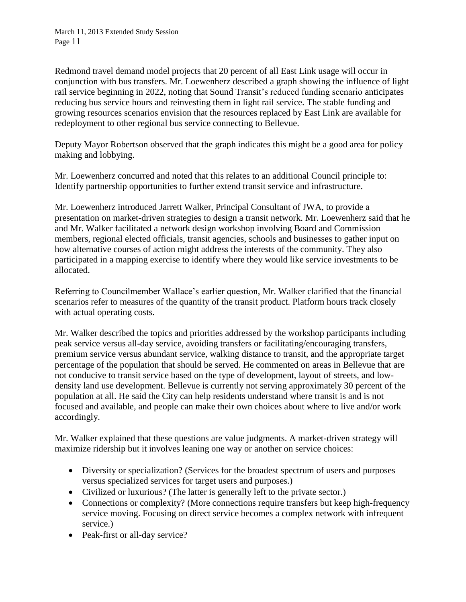Redmond travel demand model projects that 20 percent of all East Link usage will occur in conjunction with bus transfers. Mr. Loewenherz described a graph showing the influence of light rail service beginning in 2022, noting that Sound Transit's reduced funding scenario anticipates reducing bus service hours and reinvesting them in light rail service. The stable funding and growing resources scenarios envision that the resources replaced by East Link are available for redeployment to other regional bus service connecting to Bellevue.

Deputy Mayor Robertson observed that the graph indicates this might be a good area for policy making and lobbying.

Mr. Loewenherz concurred and noted that this relates to an additional Council principle to: Identify partnership opportunities to further extend transit service and infrastructure.

Mr. Loewenherz introduced Jarrett Walker, Principal Consultant of JWA, to provide a presentation on market-driven strategies to design a transit network. Mr. Loewenherz said that he and Mr. Walker facilitated a network design workshop involving Board and Commission members, regional elected officials, transit agencies, schools and businesses to gather input on how alternative courses of action might address the interests of the community. They also participated in a mapping exercise to identify where they would like service investments to be allocated.

Referring to Councilmember Wallace's earlier question, Mr. Walker clarified that the financial scenarios refer to measures of the quantity of the transit product. Platform hours track closely with actual operating costs.

Mr. Walker described the topics and priorities addressed by the workshop participants including peak service versus all-day service, avoiding transfers or facilitating/encouraging transfers, premium service versus abundant service, walking distance to transit, and the appropriate target percentage of the population that should be served. He commented on areas in Bellevue that are not conducive to transit service based on the type of development, layout of streets, and lowdensity land use development. Bellevue is currently not serving approximately 30 percent of the population at all. He said the City can help residents understand where transit is and is not focused and available, and people can make their own choices about where to live and/or work accordingly.

Mr. Walker explained that these questions are value judgments. A market-driven strategy will maximize ridership but it involves leaning one way or another on service choices:

- Diversity or specialization? (Services for the broadest spectrum of users and purposes versus specialized services for target users and purposes.)
- Civilized or luxurious? (The latter is generally left to the private sector.)
- Connections or complexity? (More connections require transfers but keep high-frequency service moving. Focusing on direct service becomes a complex network with infrequent service.)
- Peak-first or all-day service?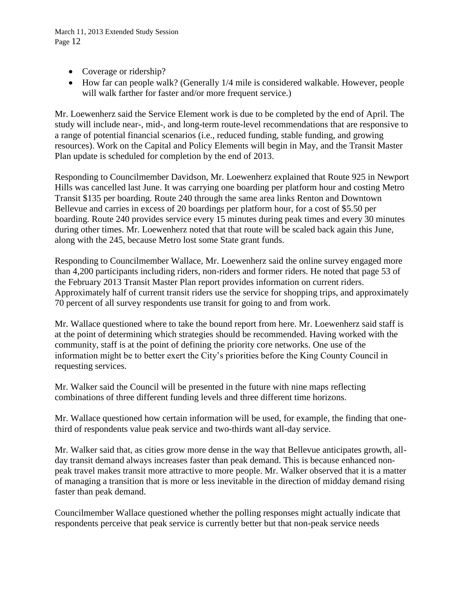- Coverage or ridership?
- How far can people walk? (Generally 1/4 mile is considered walkable. However, people will walk farther for faster and/or more frequent service.)

Mr. Loewenherz said the Service Element work is due to be completed by the end of April. The study will include near-, mid-, and long-term route-level recommendations that are responsive to a range of potential financial scenarios (i.e., reduced funding, stable funding, and growing resources). Work on the Capital and Policy Elements will begin in May, and the Transit Master Plan update is scheduled for completion by the end of 2013.

Responding to Councilmember Davidson, Mr. Loewenherz explained that Route 925 in Newport Hills was cancelled last June. It was carrying one boarding per platform hour and costing Metro Transit \$135 per boarding. Route 240 through the same area links Renton and Downtown Bellevue and carries in excess of 20 boardings per platform hour, for a cost of \$5.50 per boarding. Route 240 provides service every 15 minutes during peak times and every 30 minutes during other times. Mr. Loewenherz noted that that route will be scaled back again this June, along with the 245, because Metro lost some State grant funds.

Responding to Councilmember Wallace, Mr. Loewenherz said the online survey engaged more than 4,200 participants including riders, non-riders and former riders. He noted that page 53 of the February 2013 Transit Master Plan report provides information on current riders. Approximately half of current transit riders use the service for shopping trips, and approximately 70 percent of all survey respondents use transit for going to and from work.

Mr. Wallace questioned where to take the bound report from here. Mr. Loewenherz said staff is at the point of determining which strategies should be recommended. Having worked with the community, staff is at the point of defining the priority core networks. One use of the information might be to better exert the City's priorities before the King County Council in requesting services.

Mr. Walker said the Council will be presented in the future with nine maps reflecting combinations of three different funding levels and three different time horizons.

Mr. Wallace questioned how certain information will be used, for example, the finding that onethird of respondents value peak service and two-thirds want all-day service.

Mr. Walker said that, as cities grow more dense in the way that Bellevue anticipates growth, allday transit demand always increases faster than peak demand. This is because enhanced nonpeak travel makes transit more attractive to more people. Mr. Walker observed that it is a matter of managing a transition that is more or less inevitable in the direction of midday demand rising faster than peak demand.

Councilmember Wallace questioned whether the polling responses might actually indicate that respondents perceive that peak service is currently better but that non-peak service needs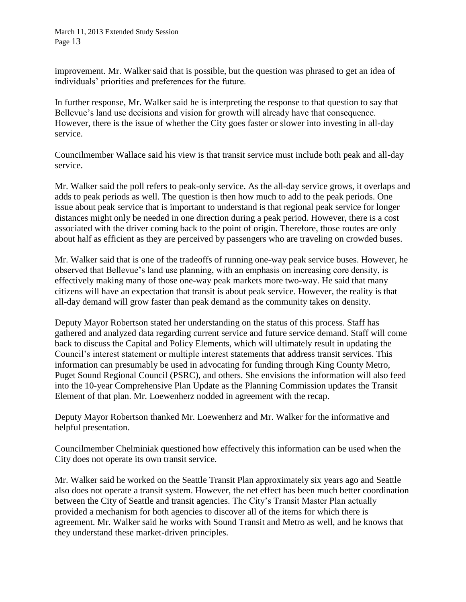improvement. Mr. Walker said that is possible, but the question was phrased to get an idea of individuals' priorities and preferences for the future.

In further response, Mr. Walker said he is interpreting the response to that question to say that Bellevue's land use decisions and vision for growth will already have that consequence. However, there is the issue of whether the City goes faster or slower into investing in all-day service.

Councilmember Wallace said his view is that transit service must include both peak and all-day service.

Mr. Walker said the poll refers to peak-only service. As the all-day service grows, it overlaps and adds to peak periods as well. The question is then how much to add to the peak periods. One issue about peak service that is important to understand is that regional peak service for longer distances might only be needed in one direction during a peak period. However, there is a cost associated with the driver coming back to the point of origin. Therefore, those routes are only about half as efficient as they are perceived by passengers who are traveling on crowded buses.

Mr. Walker said that is one of the tradeoffs of running one-way peak service buses. However, he observed that Bellevue's land use planning, with an emphasis on increasing core density, is effectively making many of those one-way peak markets more two-way. He said that many citizens will have an expectation that transit is about peak service. However, the reality is that all-day demand will grow faster than peak demand as the community takes on density.

Deputy Mayor Robertson stated her understanding on the status of this process. Staff has gathered and analyzed data regarding current service and future service demand. Staff will come back to discuss the Capital and Policy Elements, which will ultimately result in updating the Council's interest statement or multiple interest statements that address transit services. This information can presumably be used in advocating for funding through King County Metro, Puget Sound Regional Council (PSRC), and others. She envisions the information will also feed into the 10-year Comprehensive Plan Update as the Planning Commission updates the Transit Element of that plan. Mr. Loewenherz nodded in agreement with the recap.

Deputy Mayor Robertson thanked Mr. Loewenherz and Mr. Walker for the informative and helpful presentation.

Councilmember Chelminiak questioned how effectively this information can be used when the City does not operate its own transit service.

Mr. Walker said he worked on the Seattle Transit Plan approximately six years ago and Seattle also does not operate a transit system. However, the net effect has been much better coordination between the City of Seattle and transit agencies. The City's Transit Master Plan actually provided a mechanism for both agencies to discover all of the items for which there is agreement. Mr. Walker said he works with Sound Transit and Metro as well, and he knows that they understand these market-driven principles.